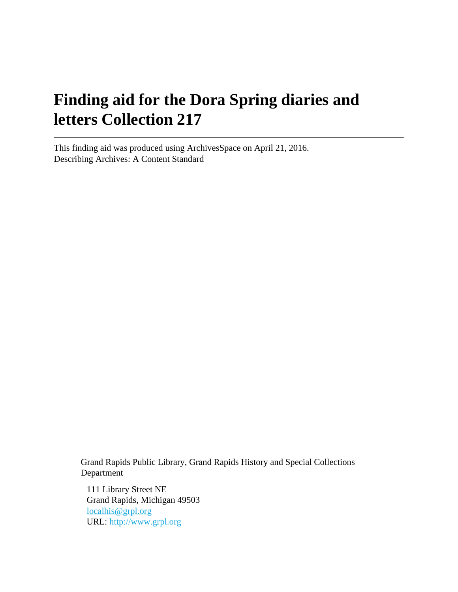# **Finding aid for the Dora Spring diaries and letters Collection 217**

This finding aid was produced using ArchivesSpace on April 21, 2016. Describing Archives: A Content Standard

> Grand Rapids Public Library, Grand Rapids History and Special Collections Department

111 Library Street NE Grand Rapids, Michigan 49503 [localhis@grpl.org](mailto:localhis@grpl.org) URL:<http://www.grpl.org>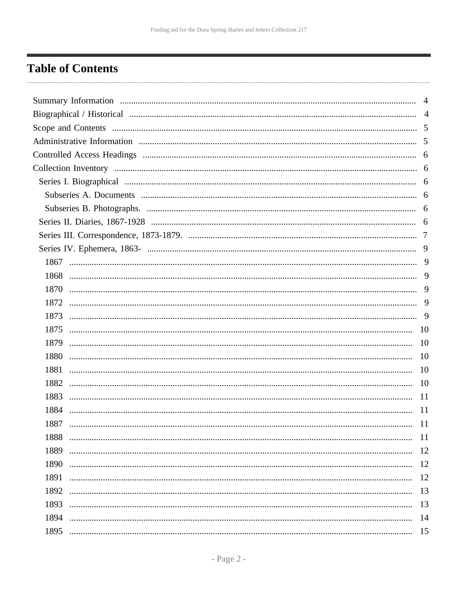## <span id="page-1-0"></span>**Table of Contents**

| $\overline{4}$<br>9<br>9<br>9<br>9<br><b>10</b><br><b>10</b><br>10<br>1881<br><b>10</b><br>1882<br>10<br>1883<br>11<br>1884<br>11<br>1887<br>11<br>-11<br>1889<br>12<br>1890<br>12<br>1891<br>13<br>1892<br>13<br>1893<br>14<br>1894<br>1895 |  |
|----------------------------------------------------------------------------------------------------------------------------------------------------------------------------------------------------------------------------------------------|--|
|                                                                                                                                                                                                                                              |  |
|                                                                                                                                                                                                                                              |  |
|                                                                                                                                                                                                                                              |  |
|                                                                                                                                                                                                                                              |  |
|                                                                                                                                                                                                                                              |  |
|                                                                                                                                                                                                                                              |  |
|                                                                                                                                                                                                                                              |  |
|                                                                                                                                                                                                                                              |  |
|                                                                                                                                                                                                                                              |  |
|                                                                                                                                                                                                                                              |  |
|                                                                                                                                                                                                                                              |  |
|                                                                                                                                                                                                                                              |  |
|                                                                                                                                                                                                                                              |  |
|                                                                                                                                                                                                                                              |  |
|                                                                                                                                                                                                                                              |  |
|                                                                                                                                                                                                                                              |  |
|                                                                                                                                                                                                                                              |  |
|                                                                                                                                                                                                                                              |  |
|                                                                                                                                                                                                                                              |  |
|                                                                                                                                                                                                                                              |  |
|                                                                                                                                                                                                                                              |  |
|                                                                                                                                                                                                                                              |  |
|                                                                                                                                                                                                                                              |  |
|                                                                                                                                                                                                                                              |  |
|                                                                                                                                                                                                                                              |  |
|                                                                                                                                                                                                                                              |  |
|                                                                                                                                                                                                                                              |  |
|                                                                                                                                                                                                                                              |  |
|                                                                                                                                                                                                                                              |  |
|                                                                                                                                                                                                                                              |  |
|                                                                                                                                                                                                                                              |  |
|                                                                                                                                                                                                                                              |  |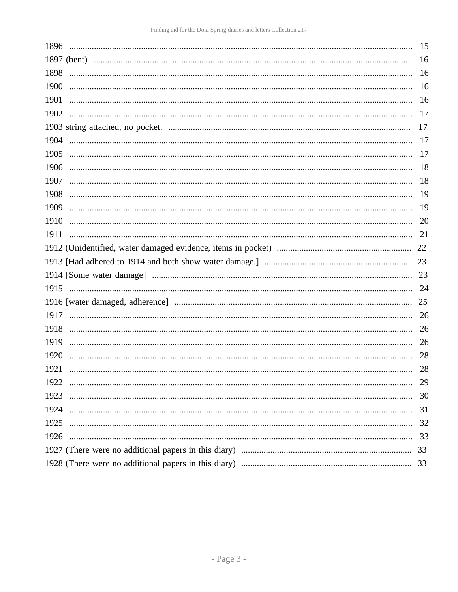| 1896                                                                                                                                                                                                                                                                                                                                                                                    | 15 |
|-----------------------------------------------------------------------------------------------------------------------------------------------------------------------------------------------------------------------------------------------------------------------------------------------------------------------------------------------------------------------------------------|----|
|                                                                                                                                                                                                                                                                                                                                                                                         | 16 |
| 1898                                                                                                                                                                                                                                                                                                                                                                                    | 16 |
| 1900                                                                                                                                                                                                                                                                                                                                                                                    | 16 |
| 1901                                                                                                                                                                                                                                                                                                                                                                                    | 16 |
| 1902                                                                                                                                                                                                                                                                                                                                                                                    | 17 |
|                                                                                                                                                                                                                                                                                                                                                                                         | 17 |
| 1904                                                                                                                                                                                                                                                                                                                                                                                    | 17 |
| 1905                                                                                                                                                                                                                                                                                                                                                                                    | 17 |
| 1906<br>$\begin{minipage}{0.5\textwidth} \begin{tabular}{ l l l } \hline \textbf{0.01} & \textbf{0.01} & \textbf{0.01} & \textbf{0.01} & \textbf{0.01} & \textbf{0.01} & \textbf{0.01} & \textbf{0.01} & \textbf{0.01} & \textbf{0.01} & \textbf{0.01} & \textbf{0.01} & \textbf{0.01} & \textbf{0.01} & \textbf{0.01} & \textbf{0.01} & \textbf{0.01} & \textbf{0.01} & \textbf{0.01}$ | 18 |
| 1907                                                                                                                                                                                                                                                                                                                                                                                    | 18 |
| 1908                                                                                                                                                                                                                                                                                                                                                                                    | 19 |
| 1909                                                                                                                                                                                                                                                                                                                                                                                    | 19 |
| 1910                                                                                                                                                                                                                                                                                                                                                                                    | 20 |
| 1911                                                                                                                                                                                                                                                                                                                                                                                    | 21 |
|                                                                                                                                                                                                                                                                                                                                                                                         |    |
|                                                                                                                                                                                                                                                                                                                                                                                         |    |
|                                                                                                                                                                                                                                                                                                                                                                                         | 23 |
|                                                                                                                                                                                                                                                                                                                                                                                         | 24 |
|                                                                                                                                                                                                                                                                                                                                                                                         | 25 |
|                                                                                                                                                                                                                                                                                                                                                                                         | 26 |
| 1918                                                                                                                                                                                                                                                                                                                                                                                    | 26 |
| 1919                                                                                                                                                                                                                                                                                                                                                                                    | 26 |
| 1920                                                                                                                                                                                                                                                                                                                                                                                    | 28 |
| 1921                                                                                                                                                                                                                                                                                                                                                                                    | 28 |
| 1922                                                                                                                                                                                                                                                                                                                                                                                    | 29 |
| 1923                                                                                                                                                                                                                                                                                                                                                                                    | 30 |
| 1924                                                                                                                                                                                                                                                                                                                                                                                    | 31 |
| 1925                                                                                                                                                                                                                                                                                                                                                                                    | 32 |
| 1926                                                                                                                                                                                                                                                                                                                                                                                    | 33 |
|                                                                                                                                                                                                                                                                                                                                                                                         |    |
|                                                                                                                                                                                                                                                                                                                                                                                         | 33 |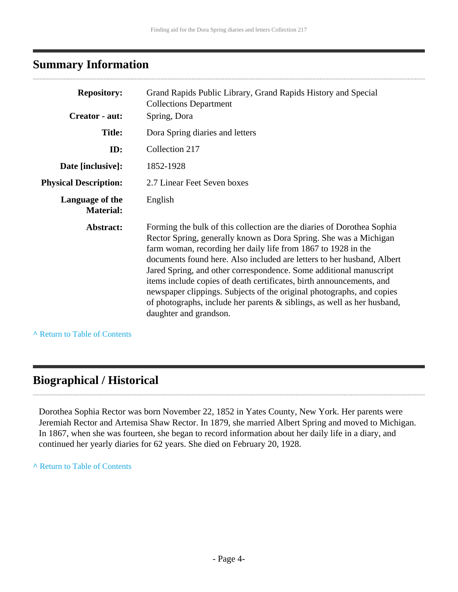## <span id="page-3-0"></span>**Summary Information**

| <b>Repository:</b><br>Creator - aut: | Grand Rapids Public Library, Grand Rapids History and Special<br><b>Collections Department</b><br>Spring, Dora                                                                                                                                                                                                                                                                                                                                                                                                                                                                                                     |
|--------------------------------------|--------------------------------------------------------------------------------------------------------------------------------------------------------------------------------------------------------------------------------------------------------------------------------------------------------------------------------------------------------------------------------------------------------------------------------------------------------------------------------------------------------------------------------------------------------------------------------------------------------------------|
|                                      |                                                                                                                                                                                                                                                                                                                                                                                                                                                                                                                                                                                                                    |
| <b>Title:</b>                        | Dora Spring diaries and letters                                                                                                                                                                                                                                                                                                                                                                                                                                                                                                                                                                                    |
| ID:                                  | Collection 217                                                                                                                                                                                                                                                                                                                                                                                                                                                                                                                                                                                                     |
| Date [inclusive]:                    | 1852-1928                                                                                                                                                                                                                                                                                                                                                                                                                                                                                                                                                                                                          |
| <b>Physical Description:</b>         | 2.7 Linear Feet Seven boxes                                                                                                                                                                                                                                                                                                                                                                                                                                                                                                                                                                                        |
| Language of the<br><b>Material:</b>  | English                                                                                                                                                                                                                                                                                                                                                                                                                                                                                                                                                                                                            |
| Abstract:                            | Forming the bulk of this collection are the diaries of Dorothea Sophia<br>Rector Spring, generally known as Dora Spring. She was a Michigan<br>farm woman, recording her daily life from 1867 to 1928 in the<br>documents found here. Also included are letters to her husband, Albert<br>Jared Spring, and other correspondence. Some additional manuscript<br>items include copies of death certificates, birth announcements, and<br>newspaper clippings. Subjects of the original photographs, and copies<br>of photographs, include her parents & siblings, as well as her husband,<br>daughter and grandson. |

**^** [Return to Table of Contents](#page-1-0)

#### <span id="page-3-1"></span>**Biographical / Historical**

Dorothea Sophia Rector was born November 22, 1852 in Yates County, New York. Her parents were Jeremiah Rector and Artemisa Shaw Rector. In 1879, she married Albert Spring and moved to Michigan. In 1867, when she was fourteen, she began to record information about her daily life in a diary, and continued her yearly diaries for 62 years. She died on February 20, 1928.

**^** [Return to Table of Contents](#page-1-0)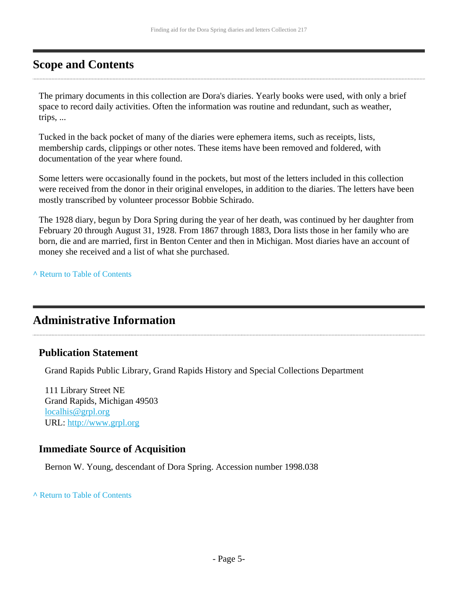#### <span id="page-4-0"></span>**Scope and Contents**

The primary documents in this collection are Dora's diaries. Yearly books were used, with only a brief space to record daily activities. Often the information was routine and redundant, such as weather, trips, ...

Tucked in the back pocket of many of the diaries were ephemera items, such as receipts, lists, membership cards, clippings or other notes. These items have been removed and foldered, with documentation of the year where found.

Some letters were occasionally found in the pockets, but most of the letters included in this collection were received from the donor in their original envelopes, in addition to the diaries. The letters have been mostly transcribed by volunteer processor Bobbie Schirado.

The 1928 diary, begun by Dora Spring during the year of her death, was continued by her daughter from February 20 through August 31, 1928. From 1867 through 1883, Dora lists those in her family who are born, die and are married, first in Benton Center and then in Michigan. Most diaries have an account of money she received and a list of what she purchased.

**^** [Return to Table of Contents](#page-1-0)

#### <span id="page-4-1"></span>**Administrative Information**

#### **Publication Statement**

Grand Rapids Public Library, Grand Rapids History and Special Collections Department

111 Library Street NE Grand Rapids, Michigan 49503 [localhis@grpl.org](mailto:localhis@grpl.org) URL:<http://www.grpl.org>

#### **Immediate Source of Acquisition**

Bernon W. Young, descendant of Dora Spring. Accession number 1998.038

#### **^** [Return to Table of Contents](#page-1-0)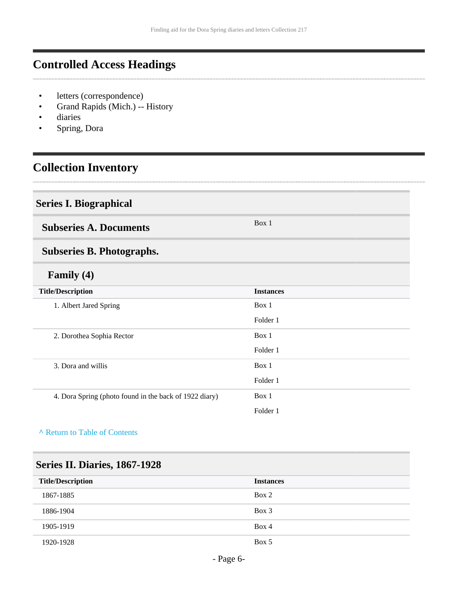## <span id="page-5-0"></span>**Controlled Access Headings**

- letters (correspondence)
- Grand Rapids (Mich.) -- History
- diaries
- Spring, Dora

## <span id="page-5-1"></span>**Collection Inventory**

#### <span id="page-5-2"></span>**Series I. Biographical**

<span id="page-5-3"></span>**Subseries A. Documents** Box 1

## <span id="page-5-4"></span>**Subseries B. Photographs.**

#### **Family (4)**

| <b>Title/Description</b>                               | <b>Instances</b> |
|--------------------------------------------------------|------------------|
| 1. Albert Jared Spring                                 | Box 1            |
|                                                        | Folder 1         |
| 2. Dorothea Sophia Rector                              | Box 1            |
|                                                        | Folder 1         |
| 3. Dora and willis                                     | Box 1            |
|                                                        | Folder 1         |
| 4. Dora Spring (photo found in the back of 1922 diary) | Box 1            |
|                                                        | Folder 1         |

#### **^** [Return to Table of Contents](#page-1-0)

#### <span id="page-5-5"></span>**Series II. Diaries, 1867-1928**

| <b>Title/Description</b> | <b>Instances</b> |
|--------------------------|------------------|
| 1867-1885                | Box 2            |
| 1886-1904                | $Box\ 3$         |
| 1905-1919                | Box 4            |
| 1920-1928                | Box 5            |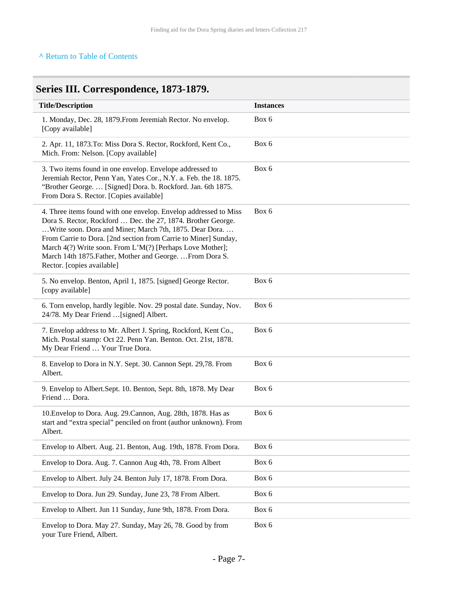#### **^** [Return to Table of Contents](#page-1-0)

## <span id="page-6-0"></span>**Series III. Correspondence, 1873-1879.**

| <b>Title/Description</b>                                                                                                                                                                                                                                                                                                                                                                                               | <b>Instances</b> |
|------------------------------------------------------------------------------------------------------------------------------------------------------------------------------------------------------------------------------------------------------------------------------------------------------------------------------------------------------------------------------------------------------------------------|------------------|
| 1. Monday, Dec. 28, 1879. From Jeremiah Rector. No envelop.<br>[Copy available]                                                                                                                                                                                                                                                                                                                                        | Box 6            |
| 2. Apr. 11, 1873. To: Miss Dora S. Rector, Rockford, Kent Co.,<br>Mich. From: Nelson. [Copy available]                                                                                                                                                                                                                                                                                                                 | Box 6            |
| 3. Two items found in one envelop. Envelope addressed to<br>Jeremiah Rector, Penn Yan, Yates Cor., N.Y. a. Feb. the 18. 1875.<br>"Brother George.  [Signed] Dora. b. Rockford. Jan. 6th 1875.<br>From Dora S. Rector. [Copies available]                                                                                                                                                                               | Box 6            |
| 4. Three items found with one envelop. Envelop addressed to Miss<br>Dora S. Rector, Rockford  Dec. the 27, 1874. Brother George.<br>Write soon. Dora and Miner; March 7th, 1875. Dear Dora.<br>From Carrie to Dora. [2nd section from Carrie to Miner] Sunday,<br>March 4(?) Write soon. From L'M(?) [Perhaps Love Mother];<br>March 14th 1875. Father, Mother and George.  From Dora S.<br>Rector. [copies available] | Box 6            |
| 5. No envelop. Benton, April 1, 1875. [signed] George Rector.<br>[copy available]                                                                                                                                                                                                                                                                                                                                      | Box 6            |
| 6. Torn envelop, hardly legible. Nov. 29 postal date. Sunday, Nov.<br>24/78. My Dear Friend  [signed] Albert.                                                                                                                                                                                                                                                                                                          | Box 6            |
| 7. Envelop address to Mr. Albert J. Spring, Rockford, Kent Co.,<br>Mich. Postal stamp: Oct 22. Penn Yan. Benton. Oct. 21st, 1878.<br>My Dear Friend  Your True Dora.                                                                                                                                                                                                                                                   | Box 6            |
| 8. Envelop to Dora in N.Y. Sept. 30. Cannon Sept. 29,78. From<br>Albert.                                                                                                                                                                                                                                                                                                                                               | Box 6            |
| 9. Envelop to Albert.Sept. 10. Benton, Sept. 8th, 1878. My Dear<br>Friend  Dora.                                                                                                                                                                                                                                                                                                                                       | Box 6            |
| 10. Envelop to Dora. Aug. 29. Cannon, Aug. 28th, 1878. Has as<br>start and "extra special" penciled on front (author unknown). From<br>Albert.                                                                                                                                                                                                                                                                         | Box 6            |
| Envelop to Albert. Aug. 21. Benton, Aug. 19th, 1878. From Dora.                                                                                                                                                                                                                                                                                                                                                        | Box 6            |
| Envelop to Dora. Aug. 7. Cannon Aug 4th, 78. From Albert                                                                                                                                                                                                                                                                                                                                                               | Box 6            |
| Envelop to Albert. July 24. Benton July 17, 1878. From Dora.                                                                                                                                                                                                                                                                                                                                                           | Box 6            |
| Envelop to Dora. Jun 29. Sunday, June 23, 78 From Albert.                                                                                                                                                                                                                                                                                                                                                              | Box 6            |
| Envelop to Albert. Jun 11 Sunday, June 9th, 1878. From Dora.                                                                                                                                                                                                                                                                                                                                                           | Box 6            |
| Envelop to Dora. May 27. Sunday, May 26, 78. Good by from                                                                                                                                                                                                                                                                                                                                                              | Box 6            |

your Ture Friend, Albert.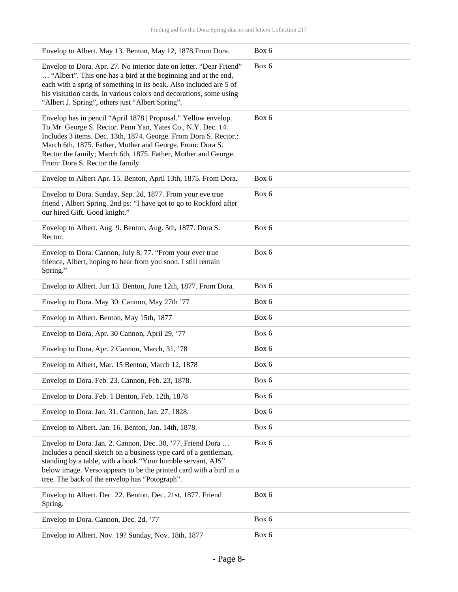| Envelop to Albert. May 13. Benton, May 12, 1878. From Dora.                                                                                                                                                                                                                                                                                                         | Box 6 |
|---------------------------------------------------------------------------------------------------------------------------------------------------------------------------------------------------------------------------------------------------------------------------------------------------------------------------------------------------------------------|-------|
| Envelop to Dora. Apr. 27. No interior date on letter. "Dear Friend"<br>"Albert". This one has a bird at the beginning and at the end,<br>each with a sprig of something in its beak. Also included are 5 of<br>his visitation cards, in various colors and decorations, some using<br>"Albert J. Spring", others just "Albert Spring".                              | Box 6 |
| Envelop has in pencil "April 1878   Proposal." Yellow envelop.<br>To Mr. George S. Rector. Penn Yan, Yates Co., N.Y. Dec. 14.<br>Includes 3 items. Dec. 13th, 1874. George. From Dora S. Rector.;<br>March 6th, 1875. Father, Mother and George. From: Dora S.<br>Rector the family; March 6th, 1875. Father, Mother and George.<br>From: Dora S. Rector the family | Box 6 |
| Envelop to Albert Apr. 15. Benton, April 13th, 1875. From Dora.                                                                                                                                                                                                                                                                                                     | Box 6 |
| Envelop to Dora. Sunday, Sep. 2d, 1877. From your eve true<br>friend, Albert Spring. 2nd ps: "I have got to go to Rockford after<br>our hired Gift. Good knight."                                                                                                                                                                                                   | Box 6 |
| Envelop to Albert. Aug. 9. Benton, Aug. 5th, 1877. Dora S.<br>Rector.                                                                                                                                                                                                                                                                                               | Box 6 |
| Envelop to Dora. Cannon, July 8, 77. "From your ever true<br>frience, Albert, hoping to hear from you soon. I still remain<br>Spring."                                                                                                                                                                                                                              | Box 6 |
| Envelop to Albert. Jun 13. Benton, June 12th, 1877. From Dora.                                                                                                                                                                                                                                                                                                      | Box 6 |
| Envelop to Dora. May 30. Cannon, May 27th '77                                                                                                                                                                                                                                                                                                                       | Box 6 |
| Envelop to Albert. Benton, May 15th, 1877                                                                                                                                                                                                                                                                                                                           | Box 6 |
| Envelop to Dora, Apr. 30 Cannon, April 29, '77                                                                                                                                                                                                                                                                                                                      | Box 6 |
| Envelop to Dora, Apr. 2 Cannon, March, 31, '78                                                                                                                                                                                                                                                                                                                      | Box 6 |
| Envelop to Albert, Mar. 15 Benton, March 12, 1878                                                                                                                                                                                                                                                                                                                   | Box 6 |
| Envelop to Dora. Feb. 23. Cannon, Feb. 23, 1878.                                                                                                                                                                                                                                                                                                                    | Box 6 |
| Envelop to Dora. Feb. 1 Benton, Feb. 12th, 1878                                                                                                                                                                                                                                                                                                                     | Box 6 |
| Envelop to Dora. Jan. 31. Cannon, Jan. 27, 1828.                                                                                                                                                                                                                                                                                                                    | Box 6 |
| Envelop to Albert. Jan. 16. Benton, Jan. 14th, 1878.                                                                                                                                                                                                                                                                                                                | Box 6 |
| Envelop to Dora. Jan. 2. Cannon, Dec. 30, '77. Friend Dora<br>Includes a pencil sketch on a business type card of a gentleman,<br>standing by a table, with a book "Your humble servant, AJS"<br>below image. Verso appears to be the printed card with a bird in a<br>tree. The back of the envelop has "Potograph".                                               | Box 6 |
| Envelop to Albert. Dec. 22. Benton, Dec. 21st, 1877. Friend<br>Spring.                                                                                                                                                                                                                                                                                              | Box 6 |
| Envelop to Dora. Cannon, Dec. 2d, '77                                                                                                                                                                                                                                                                                                                               | Box 6 |
| Envelop to Albert. Nov. 19? Sunday, Nov. 18th, 1877                                                                                                                                                                                                                                                                                                                 | Box 6 |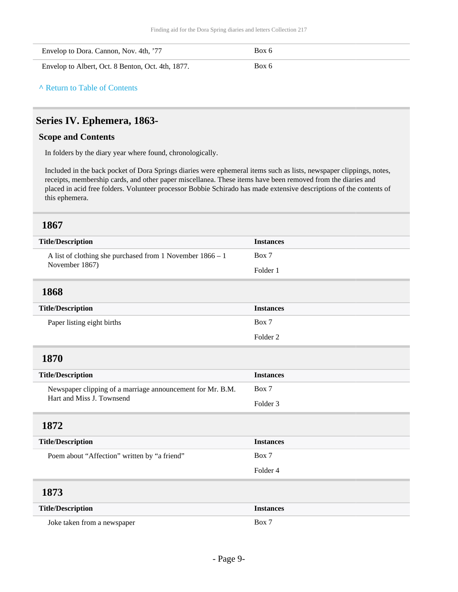| Envelop to Dora. Cannon, Nov. 4th, '77            | Box 6 |
|---------------------------------------------------|-------|
| Envelop to Albert, Oct. 8 Benton, Oct. 4th, 1877. | Box 6 |

**^** [Return to Table of Contents](#page-1-0)

#### <span id="page-8-0"></span>**Series IV. Ephemera, 1863-**

#### **Scope and Contents**

In folders by the diary year where found, chronologically.

Included in the back pocket of Dora Springs diaries were ephemeral items such as lists, newspaper clippings, notes, receipts, membership cards, and other paper miscellanea. These items have been removed from the diaries and placed in acid free folders. Volunteer processor Bobbie Schirado has made extensive descriptions of the contents of this ephemera.

<span id="page-8-5"></span><span id="page-8-4"></span><span id="page-8-3"></span><span id="page-8-2"></span><span id="page-8-1"></span>

| <b>Title/Description</b>                                   | <b>Instances</b>    |
|------------------------------------------------------------|---------------------|
| A list of clothing she purchased from 1 November 1866 – 1  | Box 7               |
| November 1867)                                             | Folder 1            |
| 1868                                                       |                     |
| <b>Title/Description</b>                                   | <b>Instances</b>    |
| Paper listing eight births                                 | Box 7               |
|                                                            | Folder <sub>2</sub> |
| 1870                                                       |                     |
| <b>Title/Description</b>                                   | <b>Instances</b>    |
| Newspaper clipping of a marriage announcement for Mr. B.M. | Box 7               |
| Hart and Miss J. Townsend                                  | Folder <sub>3</sub> |
| 1872                                                       |                     |
| <b>Title/Description</b>                                   | <b>Instances</b>    |
| Poem about "Affection" written by "a friend"               | Box 7               |
|                                                            | Folder 4            |
| 1873                                                       |                     |
| <b>Title/Description</b>                                   | <b>Instances</b>    |
| Joke taken from a newspaper                                | Box 7               |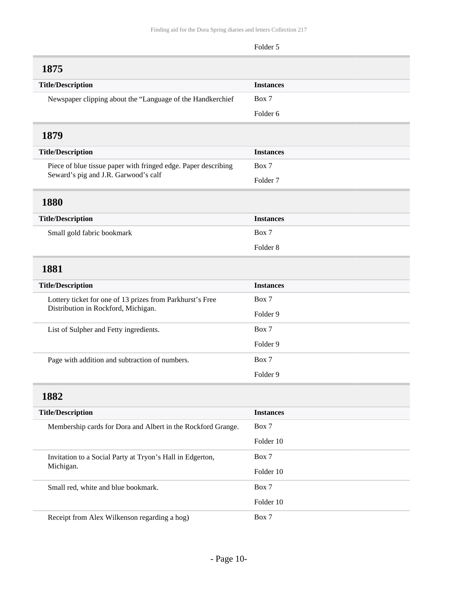<span id="page-9-4"></span><span id="page-9-3"></span><span id="page-9-2"></span><span id="page-9-1"></span><span id="page-9-0"></span>

| 1875                                                                   |                     |
|------------------------------------------------------------------------|---------------------|
| <b>Title/Description</b>                                               | <b>Instances</b>    |
| Newspaper clipping about the "Language of the Handkerchief             | Box 7               |
|                                                                        | Folder 6            |
| 1879                                                                   |                     |
| <b>Title/Description</b>                                               | <b>Instances</b>    |
| Piece of blue tissue paper with fringed edge. Paper describing         | Box 7               |
| Seward's pig and J.R. Garwood's calf                                   | Folder <sub>7</sub> |
| 1880                                                                   |                     |
| <b>Title/Description</b>                                               | <b>Instances</b>    |
| Small gold fabric bookmark                                             | Box 7               |
|                                                                        | Folder <sub>8</sub> |
| 1881                                                                   |                     |
| <b>Title/Description</b>                                               | <b>Instances</b>    |
| Lottery ticket for one of 13 prizes from Parkhurst's Free              | Box 7               |
| Distribution in Rockford, Michigan.                                    | Folder 9            |
| List of Sulpher and Fetty ingredients.                                 | Box 7               |
|                                                                        | Folder 9            |
| Page with addition and subtraction of numbers.                         | Box 7               |
|                                                                        | Folder 9            |
| 1882                                                                   |                     |
| <b>Title/Description</b>                                               | <b>Instances</b>    |
| Membership cards for Dora and Albert in the Rockford Grange.           | Box 7               |
|                                                                        | Folder 10           |
| Invitation to a Social Party at Tryon's Hall in Edgerton,<br>Michigan. | Box 7               |
|                                                                        | Folder 10           |
| Small red, white and blue bookmark.                                    | Box 7               |
|                                                                        | Folder 10           |
| Receipt from Alex Wilkenson regarding a hog)                           | Box 7               |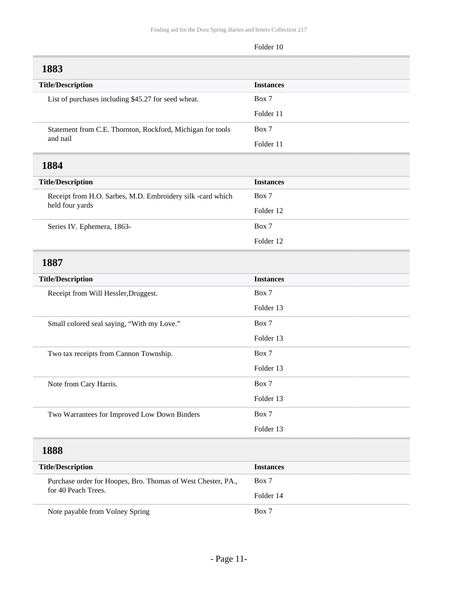# Folder 10 **Title/Description Instances** List of purchases including \$45.27 for seed wheat. Box 7 Folder 11 Statement from C.E. Thornton, Rockford, Michigan for tools Box 7 Folder 11 **Title/Description Instances** Receipt from H.O. Sarbes, M.D. Embroidery silk -card which Box 7 Folder 12 Series IV. Ephemera, 1863-<br>
Box 7 Folder 12

<span id="page-10-2"></span>

| <b>Title/Description</b>                     | <b>Instances</b> |
|----------------------------------------------|------------------|
| Receipt from Will Hessler, Druggest.         | Box 7            |
|                                              | Folder 13        |
| Small colored seal saying, "With my Love."   | Box 7            |
|                                              | Folder 13        |
| Two tax receipts from Cannon Township.       | Box 7            |
|                                              | Folder 13        |
| Note from Cary Harris.                       | Box 7            |
|                                              | Folder 13        |
| Two Warrantees for Improved Low Down Binders | Box 7            |
|                                              | Folder 13        |

#### <span id="page-10-3"></span>**1888**

<span id="page-10-0"></span>**1883**

and nail

held four yards

<span id="page-10-1"></span>**1884**

| <b>Title/Description</b>                                     | <b>Instances</b> |
|--------------------------------------------------------------|------------------|
| Purchase order for Hoopes, Bro. Thomas of West Chester, PA., | Box 7            |
| for 40 Peach Trees.                                          | Folder 14        |
| Note payable from Volney Spring                              | Box 7            |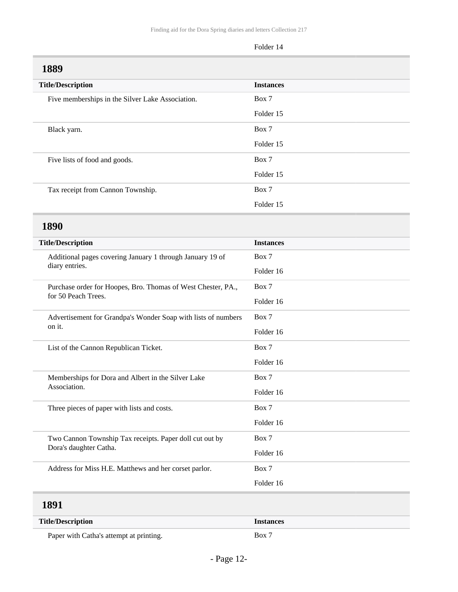<span id="page-11-1"></span><span id="page-11-0"></span>

| <b>Title/Description</b>                                                          | <b>Instances</b> |
|-----------------------------------------------------------------------------------|------------------|
| Five memberships in the Silver Lake Association.                                  | Box 7            |
|                                                                                   | Folder 15        |
| Black yarn.                                                                       | Box 7            |
|                                                                                   | Folder 15        |
| Five lists of food and goods.                                                     | Box 7            |
|                                                                                   | Folder 15        |
| Tax receipt from Cannon Township.                                                 | Box 7            |
|                                                                                   | Folder 15        |
| 1890                                                                              |                  |
| <b>Title/Description</b>                                                          | <b>Instances</b> |
| Additional pages covering January 1 through January 19 of                         | Box 7            |
| diary entries.                                                                    | Folder 16        |
| Purchase order for Hoopes, Bro. Thomas of West Chester, PA.,                      | Box 7            |
| for 50 Peach Trees.                                                               | Folder 16        |
| Advertisement for Grandpa's Wonder Soap with lists of numbers                     | Box 7            |
| on it.                                                                            | Folder 16        |
| List of the Cannon Republican Ticket.                                             | Box 7            |
|                                                                                   | Folder 16        |
| Memberships for Dora and Albert in the Silver Lake                                | Box 7            |
| Association.                                                                      | Folder 16        |
| Three pieces of paper with lists and costs.                                       | Box 7            |
|                                                                                   | Folder 16        |
| Two Cannon Township Tax receipts. Paper doll cut out by<br>Dora's daughter Catha. | Box 7            |
|                                                                                   | Folder 16        |
| Address for Miss H.E. Matthews and her corset parlor.                             | Box 7            |
|                                                                                   | Folder 16        |

<span id="page-11-2"></span>

| <b>Title/Description</b>                | <b>Instances</b>   |
|-----------------------------------------|--------------------|
| Paper with Catha's attempt at printing. | $\overline{a}$ Box |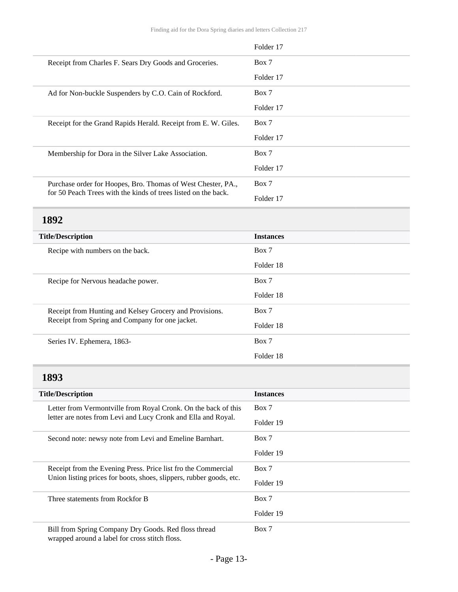|                                                                | Folder 17 |
|----------------------------------------------------------------|-----------|
| Receipt from Charles F. Sears Dry Goods and Groceries.         | Box 7     |
|                                                                | Folder 17 |
| Ad for Non-buckle Suspenders by C.O. Cain of Rockford.         | Box 7     |
|                                                                | Folder 17 |
| Receipt for the Grand Rapids Herald. Receipt from E. W. Giles. | Box 7     |
|                                                                | Folder 17 |
| Membership for Dora in the Silver Lake Association.            | Box 7     |
|                                                                | Folder 17 |
| Purchase order for Hoopes, Bro. Thomas of West Chester, PA.,   | Box 7     |
| for 50 Peach Trees with the kinds of trees listed on the back. | Folder 17 |

<span id="page-12-0"></span>

| <b>Title/Description</b>                                                                                   | <b>Instances</b> |
|------------------------------------------------------------------------------------------------------------|------------------|
| Recipe with numbers on the back.                                                                           | Box 7            |
|                                                                                                            | Folder 18        |
| Recipe for Nervous headache power.                                                                         | Box 7            |
|                                                                                                            | Folder 18        |
| Receipt from Hunting and Kelsey Grocery and Provisions.<br>Receipt from Spring and Company for one jacket. | Box 7            |
|                                                                                                            | Folder 18        |
| Series IV. Ephemera, 1863-                                                                                 | Box 7            |
|                                                                                                            | Folder 18        |

#### <span id="page-12-1"></span>**1893**

| <b>Title/Description</b>                                                                                                             | <b>Instances</b> |
|--------------------------------------------------------------------------------------------------------------------------------------|------------------|
| Letter from Vermontville from Royal Cronk. On the back of this<br>letter are notes from Levi and Lucy Cronk and Ella and Royal.      | Box 7            |
|                                                                                                                                      | Folder 19        |
| Second note: newsy note from Levi and Emeline Barnhart.                                                                              | Box 7            |
|                                                                                                                                      | Folder 19        |
| Receipt from the Evening Press. Price list fro the Commercial<br>Union listing prices for boots, shoes, slippers, rubber goods, etc. | Box 7            |
|                                                                                                                                      | Folder 19        |
| Three statements from Rockfor B                                                                                                      | Box 7            |
|                                                                                                                                      | Folder 19        |
| Bill from Spring Company Dry Goods. Red floss thread<br>wrapped around a label for cross stitch floss.                               | Box 7            |

- Page 13-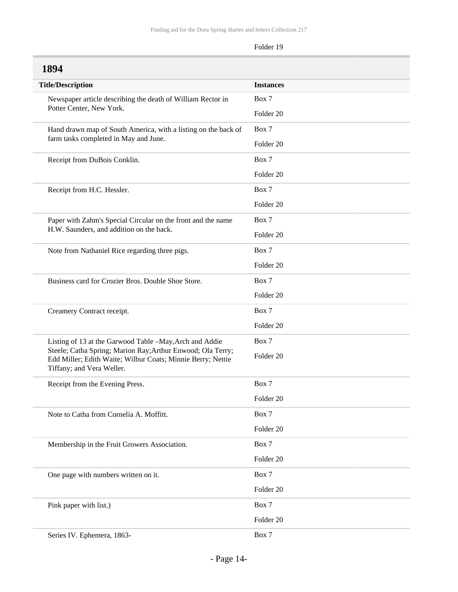<span id="page-13-0"></span>

| 1894                                                                                                                                                    |                      |
|---------------------------------------------------------------------------------------------------------------------------------------------------------|----------------------|
| <b>Title/Description</b>                                                                                                                                | <b>Instances</b>     |
| Newspaper article describing the death of William Rector in<br>Potter Center, New York.                                                                 | Box 7                |
|                                                                                                                                                         | Folder 20            |
| Hand drawn map of South America, with a listing on the back of                                                                                          | Box 7                |
| farm tasks completed in May and June.                                                                                                                   | Folder 20            |
| Receipt from DuBois Conklin.                                                                                                                            | Box 7                |
|                                                                                                                                                         | Folder 20            |
| Receipt from H.C. Hessler.                                                                                                                              | Box 7                |
|                                                                                                                                                         | Folder <sub>20</sub> |
| Paper with Zahm's Special Circular on the front and the name                                                                                            | Box 7                |
| H.W. Saunders, and addition on the back.                                                                                                                | Folder 20            |
| Note from Nathaniel Rice regarding three pigs.                                                                                                          | Box 7                |
|                                                                                                                                                         | Folder 20            |
| Business card for Crozier Bros. Double Shoe Store.                                                                                                      | Box 7                |
|                                                                                                                                                         | Folder 20            |
| Creamery Contract receipt.                                                                                                                              | Box 7                |
|                                                                                                                                                         | Folder 20            |
| Listing of 13 at the Garwood Table -May, Arch and Addie                                                                                                 | Box 7                |
| Steele; Catha Spring; Marion Ray; Arthur Enwood; Ola Terry;<br>Edd Miller; Edith Waite; Wilbur Coats; Minnie Berry; Nettie<br>Tiffany; and Vera Weller. | Folder <sub>20</sub> |
| Receipt from the Evening Press.                                                                                                                         | Box 7                |
|                                                                                                                                                         | Folder 20            |
| Note to Catha from Cornelia A. Moffitt.                                                                                                                 | Box 7                |
|                                                                                                                                                         | Folder 20            |
| Membership in the Fruit Growers Association.                                                                                                            | Box 7                |
|                                                                                                                                                         | Folder 20            |
| One page with numbers written on it.                                                                                                                    | Box 7                |
|                                                                                                                                                         | Folder 20            |
| Pink paper with list.)                                                                                                                                  | Box 7                |
|                                                                                                                                                         | Folder 20            |
| Series IV. Ephemera, 1863-                                                                                                                              | Box 7                |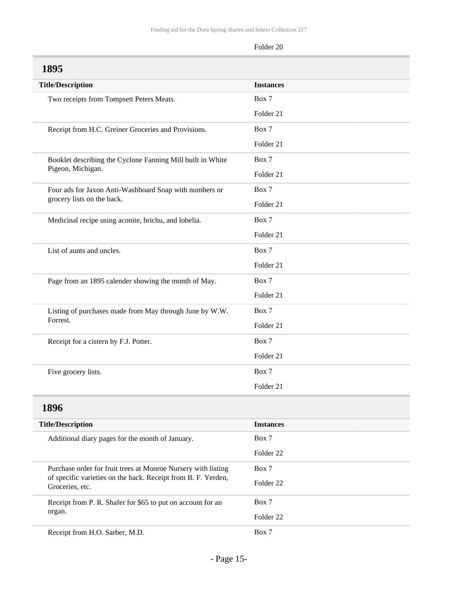<span id="page-14-1"></span><span id="page-14-0"></span>

| 1895                                                                                                                                              |                      |
|---------------------------------------------------------------------------------------------------------------------------------------------------|----------------------|
| <b>Title/Description</b>                                                                                                                          | <b>Instances</b>     |
| Two receipts from Tompsett Peters Meats.                                                                                                          | Box 7                |
|                                                                                                                                                   | Folder 21            |
| Receipt from H.C. Greiner Groceries and Provisions.                                                                                               | Box 7                |
|                                                                                                                                                   | Folder 21            |
| Booklet describing the Cyclone Fanning Mill built in White                                                                                        | Box 7                |
| Pigeon, Michigan.                                                                                                                                 | Folder 21            |
| Four ads for Jaxon Anti-Washboard Soap with numbers or                                                                                            | Box 7                |
| grocery lists on the back.                                                                                                                        | Folder 21            |
| Medicinal recipe using aconite, brichu, and lobelia.                                                                                              | Box 7                |
|                                                                                                                                                   | Folder 21            |
| List of aunts and uncles.                                                                                                                         | Box 7                |
|                                                                                                                                                   | Folder 21            |
| Page from an 1895 calender showing the month of May.                                                                                              | Box 7                |
|                                                                                                                                                   | Folder 21            |
| Listing of purchases made from May through June by W.W.                                                                                           | Box 7                |
| Forrest.                                                                                                                                          | Folder 21            |
| Receipt for a cistern by F.J. Potter.                                                                                                             | Box 7                |
|                                                                                                                                                   | Folder 21            |
| Five grocery lists.                                                                                                                               | Box 7                |
|                                                                                                                                                   | Folder 21            |
| 1896                                                                                                                                              |                      |
| <b>Title/Description</b>                                                                                                                          | <b>Instances</b>     |
| Additional diary pages for the month of January.                                                                                                  | Box 7                |
|                                                                                                                                                   | Folder <sub>22</sub> |
| Purchase order for fruit trees at Monroe Nursery with listing<br>of specific varieties on the back. Receipt from B. F. Yerden,<br>Groceries, etc. | Box 7                |
|                                                                                                                                                   | Folder 22            |
| Receipt from P. R. Shafer for \$65 to put on account for an                                                                                       | Box 7                |
| organ.                                                                                                                                            | Folder 22            |
| Receipt from H.O. Sarber, M.D.                                                                                                                    | Box 7                |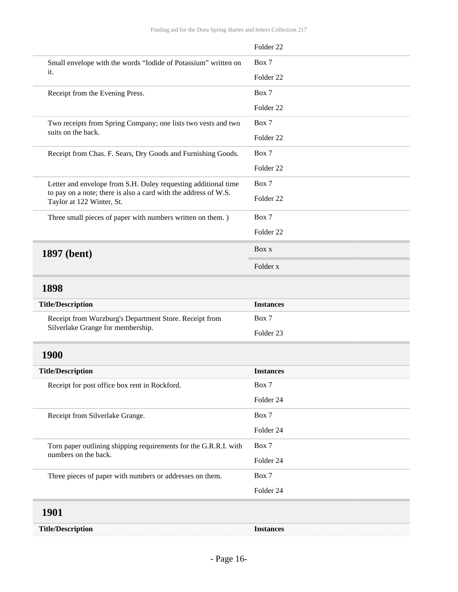<span id="page-15-3"></span><span id="page-15-2"></span><span id="page-15-1"></span><span id="page-15-0"></span>

|                                                                                              | Folder <sub>22</sub> |
|----------------------------------------------------------------------------------------------|----------------------|
| Small envelope with the words "Iodide of Potassium" written on<br>it.                        | Box 7                |
|                                                                                              | Folder <sub>22</sub> |
| Receipt from the Evening Press.                                                              | Box 7                |
|                                                                                              | Folder <sub>22</sub> |
| Two receipts from Spring Company; one lists two vests and two                                | Box 7                |
| suits on the back.                                                                           | Folder <sub>22</sub> |
| Receipt from Chas. F. Sears, Dry Goods and Furnishing Goods.                                 | Box 7                |
|                                                                                              | Folder <sub>22</sub> |
| Letter and envelope from S.H. Duley requesting additional time                               | Box 7                |
| to pay on a note; there is also a card with the address of W.S.<br>Taylor at 122 Winter, St. | Folder <sub>22</sub> |
| Three small pieces of paper with numbers written on them.)                                   | Box 7                |
|                                                                                              | Folder <sub>22</sub> |
| 1897 (bent)                                                                                  | Box x                |
|                                                                                              | Folder x             |
| 1898                                                                                         |                      |
| <b>Title/Description</b>                                                                     | <b>Instances</b>     |
| Receipt from Wurzburg's Department Store. Receipt from                                       | Box 7                |
| Silverlake Grange for membership.                                                            | Folder <sub>23</sub> |
| 1900                                                                                         |                      |
| <b>Title/Description</b>                                                                     | <b>Instances</b>     |
| Receipt for post office box rent in Rockford.                                                | Box 7                |
|                                                                                              | Folder 24            |
| Receipt from Silverlake Grange.                                                              | Box 7                |
|                                                                                              | Folder 24            |
| Torn paper outlining shipping requirements for the G.R.R.I. with<br>numbers on the back.     | Box 7                |
|                                                                                              | Folder 24            |
| Three pieces of paper with numbers or addresses on them.                                     | Box 7                |
|                                                                                              | Folder 24            |
| 1901                                                                                         |                      |
| <b>Title/Description</b>                                                                     | <b>Instances</b>     |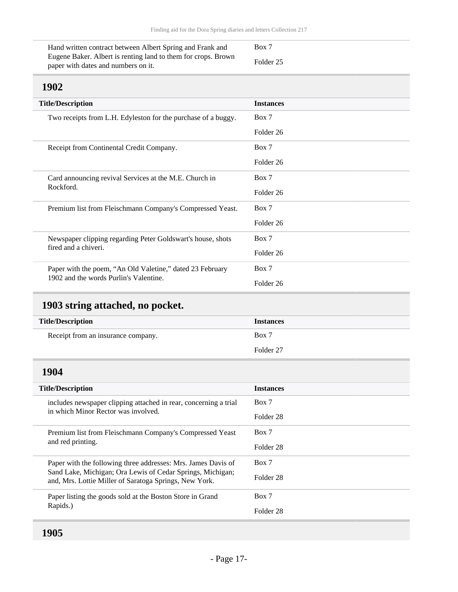| Hand written contract between Albert Spring and Frank and     | Box 7     |
|---------------------------------------------------------------|-----------|
| Eugene Baker. Albert is renting land to them for crops. Brown | Folder 25 |
| paper with dates and numbers on it.                           |           |

<span id="page-16-0"></span>

| <b>Title/Description</b>                                                                            | <b>Instances</b> |
|-----------------------------------------------------------------------------------------------------|------------------|
| Two receipts from L.H. Edyleston for the purchase of a buggy.                                       | Box 7            |
|                                                                                                     | Folder 26        |
| Receipt from Continental Credit Company.                                                            | Box 7            |
|                                                                                                     | Folder 26        |
| Card announcing revival Services at the M.E. Church in<br>Rockford.                                 | Box 7            |
|                                                                                                     | Folder 26        |
| Premium list from Fleischmann Company's Compressed Yeast.                                           | Box 7            |
|                                                                                                     | Folder 26        |
| Newspaper clipping regarding Peter Goldswart's house, shots<br>fired and a chiveri.                 | Box 7            |
|                                                                                                     | Folder 26        |
| Paper with the poem, "An Old Valetine," dated 23 February<br>1902 and the words Purlin's Valentine. | Box 7            |
|                                                                                                     | Folder 26        |

## <span id="page-16-1"></span>**1903 string attached, no pocket.**

| <b>Title/Description</b>           | <b>Instances</b> |
|------------------------------------|------------------|
| Receipt from an insurance company. | Box 7            |
|                                    | Folder 27        |

<span id="page-16-3"></span><span id="page-16-2"></span>

| <b>Title/Description</b>                                                                                                                                                              | <b>Instances</b> |
|---------------------------------------------------------------------------------------------------------------------------------------------------------------------------------------|------------------|
| includes newspaper clipping attached in rear, concerning a trial<br>in which Minor Rector was involved.                                                                               | Box 7            |
|                                                                                                                                                                                       | Folder 28        |
| Premium list from Fleischmann Company's Compressed Yeast<br>and red printing.                                                                                                         | Box 7            |
|                                                                                                                                                                                       | Folder 28        |
| Paper with the following three addresses: Mrs. James Davis of<br>Sand Lake, Michigan; Ora Lewis of Cedar Springs, Michigan;<br>and, Mrs. Lottie Miller of Saratoga Springs, New York. | Box 7            |
|                                                                                                                                                                                       | Folder 28        |
| Paper listing the goods sold at the Boston Store in Grand<br>Rapids.)                                                                                                                 | Box 7            |
|                                                                                                                                                                                       | Folder 28        |
|                                                                                                                                                                                       |                  |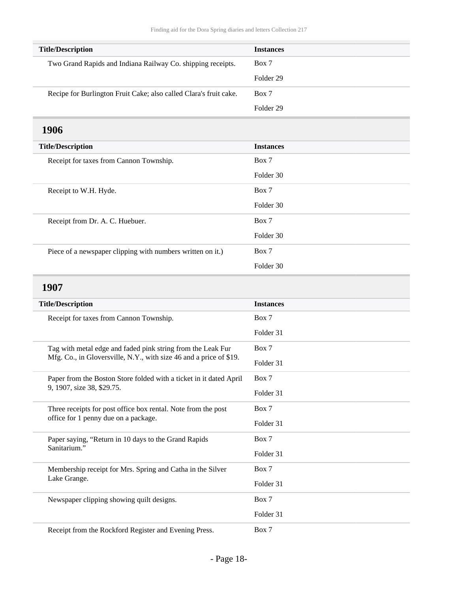<span id="page-17-1"></span><span id="page-17-0"></span>

| <b>Title/Description</b>                                                                              | <b>Instances</b> |
|-------------------------------------------------------------------------------------------------------|------------------|
| Two Grand Rapids and Indiana Railway Co. shipping receipts.                                           | Box 7            |
|                                                                                                       | Folder 29        |
| Recipe for Burlington Fruit Cake; also called Clara's fruit cake.                                     | Box 7            |
|                                                                                                       | Folder 29        |
| 1906                                                                                                  |                  |
| <b>Title/Description</b>                                                                              | <b>Instances</b> |
| Receipt for taxes from Cannon Township.                                                               | Box 7            |
|                                                                                                       | Folder 30        |
| Receipt to W.H. Hyde.                                                                                 | Box 7            |
|                                                                                                       | Folder 30        |
| Receipt from Dr. A. C. Huebuer.                                                                       | Box 7            |
|                                                                                                       | Folder 30        |
| Piece of a newspaper clipping with numbers written on it.)                                            | Box 7            |
|                                                                                                       | Folder 30        |
| 1907                                                                                                  |                  |
| <b>Title/Description</b>                                                                              | <b>Instances</b> |
| Receipt for taxes from Cannon Township.                                                               | Box 7            |
|                                                                                                       | Folder 31        |
| Tag with metal edge and faded pink string from the Leak Fur                                           | Box 7            |
| Mfg. Co., in Gloversville, N.Y., with size 46 and a price of \$19.                                    | Folder 31        |
| Paper from the Boston Store folded with a ticket in it dated April                                    | Box 7            |
| 9, 1907, size 38, \$29.75.                                                                            | Folder 31        |
| Three receipts for post office box rental. Note from the post<br>office for 1 penny due on a package. | Box 7            |
|                                                                                                       | Folder 31        |
| Paper saying, "Return in 10 days to the Grand Rapids<br>Sanitarium."                                  | Box 7            |
|                                                                                                       | Folder 31        |
| Membership receipt for Mrs. Spring and Catha in the Silver                                            | Box 7            |
| Lake Grange.                                                                                          | Folder 31        |
| Newspaper clipping showing quilt designs.                                                             | Box 7            |
|                                                                                                       | Folder 31        |
| Receipt from the Rockford Register and Evening Press.                                                 | Box 7            |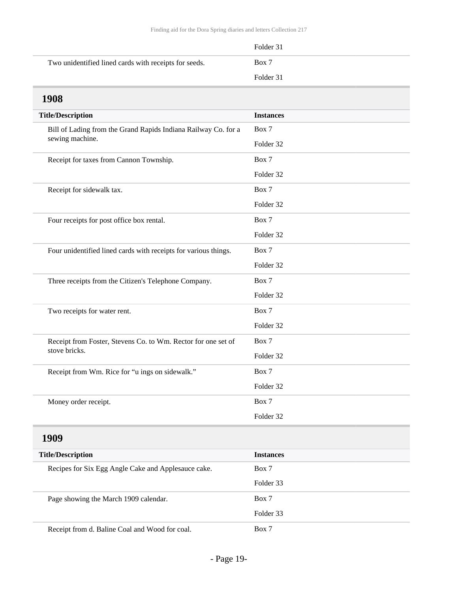|                                                       | Folder 31 |
|-------------------------------------------------------|-----------|
| Two unidentified lined cards with receipts for seeds. | Box 7     |
|                                                       | Folder 31 |

<span id="page-18-1"></span><span id="page-18-0"></span>

| <b>1908</b>                                                                       |                  |
|-----------------------------------------------------------------------------------|------------------|
| <b>Title/Description</b>                                                          | <b>Instances</b> |
| Bill of Lading from the Grand Rapids Indiana Railway Co. for a<br>sewing machine. | Box 7            |
|                                                                                   | Folder 32        |
| Receipt for taxes from Cannon Township.                                           | Box 7            |
|                                                                                   | Folder 32        |
| Receipt for sidewalk tax.                                                         | Box 7            |
|                                                                                   | Folder 32        |
| Four receipts for post office box rental.                                         | Box 7            |
|                                                                                   | Folder 32        |
| Four unidentified lined cards with receipts for various things.                   | Box 7            |
|                                                                                   | Folder 32        |
| Three receipts from the Citizen's Telephone Company.                              | Box 7            |
|                                                                                   | Folder 32        |
| Two receipts for water rent.                                                      | Box 7            |
|                                                                                   | Folder 32        |
| Receipt from Foster, Stevens Co. to Wm. Rector for one set of                     | Box 7            |
| stove bricks.                                                                     | Folder 32        |
| Receipt from Wm. Rice for "u ings on sidewalk."                                   | Box 7            |
|                                                                                   | Folder 32        |
| Money order receipt.                                                              | Box 7            |
|                                                                                   | Folder 32        |
| 1909                                                                              |                  |
| <b>Title/Description</b>                                                          | <b>Instances</b> |
| Recipes for Six Egg Angle Cake and Applesauce cake.                               | Box 7            |
|                                                                                   | Folder 33        |
| Page showing the March 1909 calendar.                                             | Box 7            |
|                                                                                   | Folder 33        |
| Receipt from d. Baline Coal and Wood for coal.                                    | Box 7            |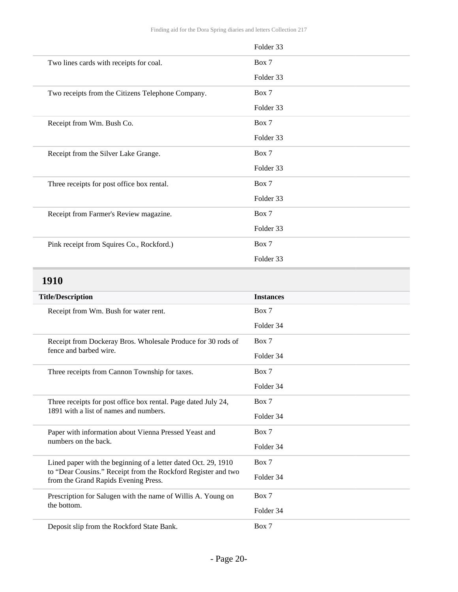<span id="page-19-0"></span>

|                                                                                                       | Folder 33        |
|-------------------------------------------------------------------------------------------------------|------------------|
| Two lines cards with receipts for coal.                                                               | Box 7            |
|                                                                                                       | Folder 33        |
| Two receipts from the Citizens Telephone Company.                                                     | Box 7            |
|                                                                                                       | Folder 33        |
| Receipt from Wm. Bush Co.                                                                             | Box 7            |
|                                                                                                       | Folder 33        |
| Receipt from the Silver Lake Grange.                                                                  | Box 7            |
|                                                                                                       | Folder 33        |
| Three receipts for post office box rental.                                                            | Box 7            |
|                                                                                                       | Folder 33        |
| Receipt from Farmer's Review magazine.                                                                | Box 7            |
|                                                                                                       | Folder 33        |
| Pink receipt from Squires Co., Rockford.)                                                             | Box 7            |
|                                                                                                       | Folder 33        |
| 1910                                                                                                  |                  |
|                                                                                                       |                  |
|                                                                                                       | <b>Instances</b> |
| <b>Title/Description</b><br>Receipt from Wm. Bush for water rent.                                     | Box 7            |
|                                                                                                       | Folder 34        |
| Receipt from Dockeray Bros. Wholesale Produce for 30 rods of                                          | Box 7            |
| fence and barbed wire.                                                                                | Folder 34        |
| Three receipts from Cannon Township for taxes.                                                        | Box 7            |
|                                                                                                       | Folder 34        |
| Three receipts for post office box rental. Page dated July 24,                                        | Box 7            |
| 1891 with a list of names and numbers.                                                                | Folder 34        |
| Paper with information about Vienna Pressed Yeast and                                                 | Box 7            |
| numbers on the back.                                                                                  | Folder 34        |
| Lined paper with the beginning of a letter dated Oct. 29, 1910                                        | Box 7            |
| to "Dear Cousins." Receipt from the Rockford Register and two<br>from the Grand Rapids Evening Press. | Folder 34        |
| Prescription for Salugen with the name of Willis A. Young on                                          | Box 7            |
| the bottom.                                                                                           | Folder 34        |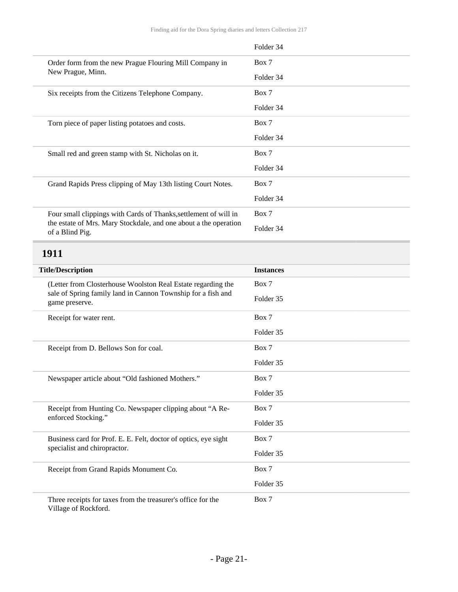<span id="page-20-0"></span>

|                                                                                     | Folder 34        |
|-------------------------------------------------------------------------------------|------------------|
| Order form from the new Prague Flouring Mill Company in                             | Box 7            |
| New Prague, Minn.                                                                   | Folder 34        |
| Six receipts from the Citizens Telephone Company.                                   | Box 7            |
|                                                                                     | Folder 34        |
| Torn piece of paper listing potatoes and costs.                                     | Box 7            |
|                                                                                     | Folder 34        |
| Small red and green stamp with St. Nicholas on it.                                  | Box 7            |
|                                                                                     | Folder 34        |
| Grand Rapids Press clipping of May 13th listing Court Notes.                        | Box 7            |
|                                                                                     | Folder 34        |
| Four small clippings with Cards of Thanks, settlement of will in                    | Box 7            |
| the estate of Mrs. Mary Stockdale, and one about a the operation<br>of a Blind Pig. | Folder 34        |
| 1911                                                                                |                  |
| <b>Title/Description</b>                                                            | <b>Instances</b> |
|                                                                                     |                  |
| (Letter from Closterhouse Woolston Real Estate regarding the                        | Box 7            |
| sale of Spring family land in Cannon Township for a fish and<br>game preserve.      | Folder 35        |
| Receipt for water rent.                                                             | Box 7            |
|                                                                                     | Folder 35        |
| Receipt from D. Bellows Son for coal.                                               | Box 7            |
|                                                                                     | Folder 35        |
| Newspaper article about "Old fashioned Mothers."                                    | Box 7            |
|                                                                                     | Folder 35        |
| Receipt from Hunting Co. Newspaper clipping about "A Re-                            | Box 7            |
| enforced Stocking."                                                                 | Folder 35        |
| Business card for Prof. E. E. Felt, doctor of optics, eye sight                     | Box 7            |
| specialist and chiropractor.                                                        | Folder 35        |
| Receipt from Grand Rapids Monument Co.                                              | Box 7            |
|                                                                                     | Folder 35        |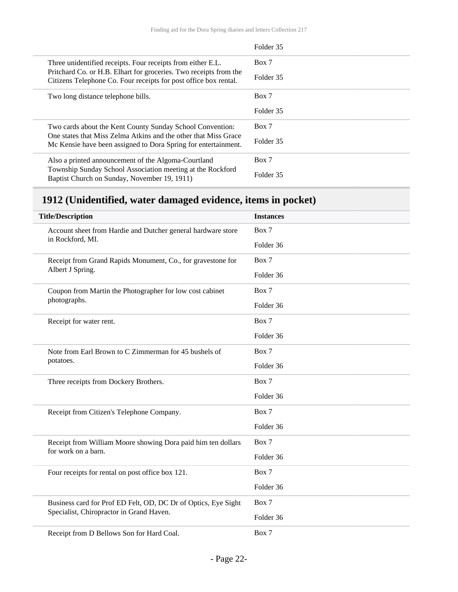|                                                                                                                                       | Folder 35 |
|---------------------------------------------------------------------------------------------------------------------------------------|-----------|
| Three unidentified receipts. Four receipts from either E.L.                                                                           | Box 7     |
| Pritchard Co. or H.B. Elhart for groceries. Two receipts from the<br>Citizens Telephone Co. Four receipts for post office box rental. | Folder 35 |
| Two long distance telephone bills.                                                                                                    | Box 7     |
|                                                                                                                                       | Folder 35 |
| Two cards about the Kent County Sunday School Convention:                                                                             | Box 7     |
| One states that Miss Zelma Atkins and the other that Miss Grace<br>Mc Kensie have been assigned to Dora Spring for entertainment.     | Folder 35 |
| Also a printed announcement of the Algoma-Courtland                                                                                   | Box 7     |
| Township Sunday School Association meeting at the Rockford<br>Baptist Church on Sunday, November 19, 1911)                            | Folder 35 |

## <span id="page-21-0"></span>**1912 (Unidentified, water damaged evidence, items in pocket)**

| <b>Title/Description</b>                                                         | <b>Instances</b> |
|----------------------------------------------------------------------------------|------------------|
| Account sheet from Hardie and Dutcher general hardware store<br>in Rockford, MI. | Box 7            |
|                                                                                  | Folder 36        |
| Receipt from Grand Rapids Monument, Co., for gravestone for<br>Albert J Spring.  | Box 7            |
|                                                                                  | Folder 36        |
| Coupon from Martin the Photographer for low cost cabinet                         | Box 7            |
| photographs.                                                                     | Folder 36        |
| Receipt for water rent.                                                          | Box 7            |
|                                                                                  | Folder 36        |
| Note from Earl Brown to C Zimmerman for 45 bushels of                            | Box 7            |
| potatoes.                                                                        | Folder 36        |
| Three receipts from Dockery Brothers.                                            | Box 7            |
|                                                                                  | Folder 36        |
| Receipt from Citizen's Telephone Company.                                        | Box 7            |
|                                                                                  | Folder 36        |
| Receipt from William Moore showing Dora paid him ten dollars                     | Box 7            |
| for work on a barn.                                                              | Folder 36        |
| Four receipts for rental on post office box 121.                                 | Box 7            |
|                                                                                  | Folder 36        |
| Business card for Prof ED Felt, OD, DC Dr of Optics, Eye Sight                   | Box 7            |
| Specialist, Chiropractor in Grand Haven.                                         | Folder 36        |
| Receipt from D Bellows Son for Hard Coal.                                        | Box 7            |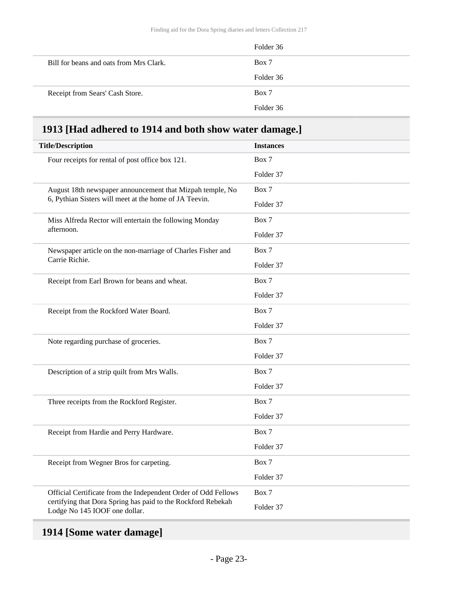|                                         | Folder 36 |
|-----------------------------------------|-----------|
| Bill for beans and oats from Mrs Clark. | Box 7     |
|                                         | Folder 36 |
| Receipt from Sears' Cash Store.         | Box 7     |
|                                         | Folder 36 |

## <span id="page-22-0"></span>**1913 [Had adhered to 1914 and both show water damage.]**

| <b>Title/Description</b>                                                                                            | <b>Instances</b> |
|---------------------------------------------------------------------------------------------------------------------|------------------|
| Four receipts for rental of post office box 121.                                                                    | Box 7            |
|                                                                                                                     | Folder 37        |
| August 18th newspaper announcement that Mizpah temple, No<br>6, Pythian Sisters will meet at the home of JA Teevin. | Box 7            |
|                                                                                                                     | Folder 37        |
| Miss Alfreda Rector will entertain the following Monday                                                             | Box 7            |
| afternoon.                                                                                                          | Folder 37        |
| Newspaper article on the non-marriage of Charles Fisher and                                                         | Box 7            |
| Carrie Richie.                                                                                                      | Folder 37        |
| Receipt from Earl Brown for beans and wheat.                                                                        | Box 7            |
|                                                                                                                     | Folder 37        |
| Receipt from the Rockford Water Board.                                                                              | Box 7            |
|                                                                                                                     | Folder 37        |
| Note regarding purchase of groceries.                                                                               | Box 7            |
|                                                                                                                     | Folder 37        |
| Description of a strip quilt from Mrs Walls.                                                                        | Box 7            |
|                                                                                                                     | Folder 37        |
| Three receipts from the Rockford Register.                                                                          | Box 7            |
|                                                                                                                     | Folder 37        |
| Receipt from Hardie and Perry Hardware.                                                                             | Box 7            |
|                                                                                                                     | Folder 37        |
| Receipt from Wegner Bros for carpeting.                                                                             | Box 7            |
|                                                                                                                     | Folder 37        |
| Official Certificate from the Independent Order of Odd Fellows                                                      | Box 7            |
| certifying that Dora Spring has paid to the Rockford Rebekah<br>Lodge No 145 IOOF one dollar.                       | Folder 37        |

## <span id="page-22-1"></span>**1914 [Some water damage]**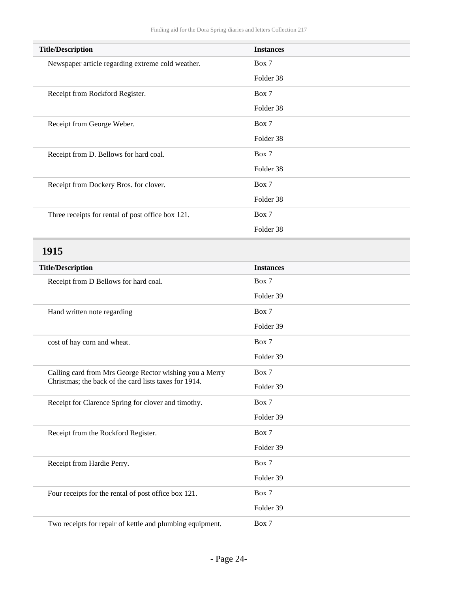<span id="page-23-0"></span>

| <b>Title/Description</b>                                                                                         | <b>Instances</b> |
|------------------------------------------------------------------------------------------------------------------|------------------|
| Newspaper article regarding extreme cold weather.                                                                | Box 7            |
|                                                                                                                  | Folder 38        |
| Receipt from Rockford Register.                                                                                  | Box 7            |
|                                                                                                                  | Folder 38        |
| Receipt from George Weber.                                                                                       | Box 7            |
|                                                                                                                  | Folder 38        |
| Receipt from D. Bellows for hard coal.                                                                           | Box 7            |
|                                                                                                                  | Folder 38        |
| Receipt from Dockery Bros. for clover.                                                                           | Box 7            |
|                                                                                                                  | Folder 38        |
| Three receipts for rental of post office box 121.                                                                | Box 7            |
|                                                                                                                  | Folder 38        |
| 1915                                                                                                             |                  |
| <b>Title/Description</b>                                                                                         | <b>Instances</b> |
| Receipt from D Bellows for hard coal.                                                                            | Box 7            |
|                                                                                                                  | Folder 39        |
| Hand written note regarding                                                                                      | Box 7            |
|                                                                                                                  | Folder 39        |
| cost of hay corn and wheat.                                                                                      | Box 7            |
|                                                                                                                  | Folder 39        |
|                                                                                                                  | Box 7            |
| Calling card from Mrs George Rector wishing you a Merry<br>Christmas; the back of the card lists taxes for 1914. | Folder 39        |
|                                                                                                                  |                  |
| Receipt for Clarence Spring for clover and timothy.                                                              | Box 7            |
|                                                                                                                  | Folder 39        |
| Receipt from the Rockford Register.                                                                              | Box 7            |
|                                                                                                                  | Folder 39        |
| Receipt from Hardie Perry.                                                                                       | Box 7            |
|                                                                                                                  | Folder 39        |
| Four receipts for the rental of post office box 121.                                                             | Box 7            |
|                                                                                                                  | Folder 39        |
| Two receipts for repair of kettle and plumbing equipment.                                                        | Box 7            |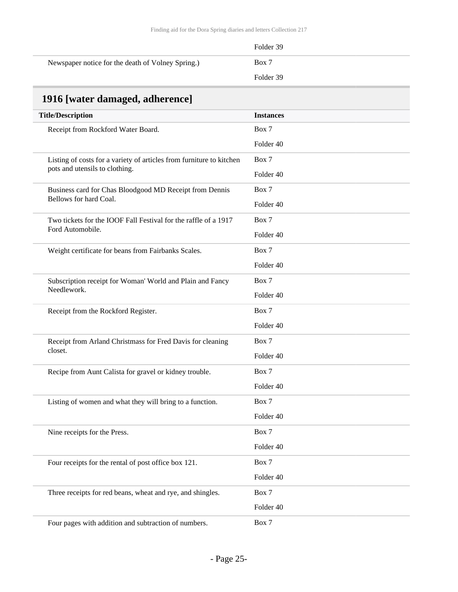|                                                   | Folder 39 |
|---------------------------------------------------|-----------|
| Newspaper notice for the death of Volney Spring.) | Box 7     |
|                                                   | Folder 39 |

## <span id="page-24-0"></span>**1916 [water damaged, adherence]**

| <b>Title/Description</b>                                                                               | <b>Instances</b> |
|--------------------------------------------------------------------------------------------------------|------------------|
| Receipt from Rockford Water Board.                                                                     | Box 7            |
|                                                                                                        | Folder 40        |
| Listing of costs for a variety of articles from furniture to kitchen<br>pots and utensils to clothing. | Box 7            |
|                                                                                                        | Folder 40        |
| Business card for Chas Bloodgood MD Receipt from Dennis                                                | Box 7            |
| Bellows for hard Coal.                                                                                 | Folder 40        |
| Two tickets for the IOOF Fall Festival for the raffle of a 1917                                        | Box 7            |
| Ford Automobile.                                                                                       | Folder 40        |
| Weight certificate for beans from Fairbanks Scales.                                                    | Box 7            |
|                                                                                                        | Folder 40        |
| Subscription receipt for Woman' World and Plain and Fancy                                              | Box 7            |
| Needlework.                                                                                            | Folder 40        |
| Receipt from the Rockford Register.                                                                    | Box 7            |
|                                                                                                        | Folder 40        |
| Receipt from Arland Christmass for Fred Davis for cleaning                                             | Box 7            |
| closet.                                                                                                | Folder 40        |
| Recipe from Aunt Calista for gravel or kidney trouble.                                                 | Box 7            |
|                                                                                                        | Folder 40        |
| Listing of women and what they will bring to a function.                                               | Box 7            |
|                                                                                                        | Folder 40        |
| Nine receipts for the Press.                                                                           | Box 7            |
|                                                                                                        | Folder 40        |
| Four receipts for the rental of post office box 121.                                                   | Box 7            |
|                                                                                                        | Folder 40        |
| Three receipts for red beans, wheat and rye, and shingles.                                             | Box 7            |
|                                                                                                        | Folder 40        |
| Four pages with addition and subtraction of numbers.                                                   | Box 7            |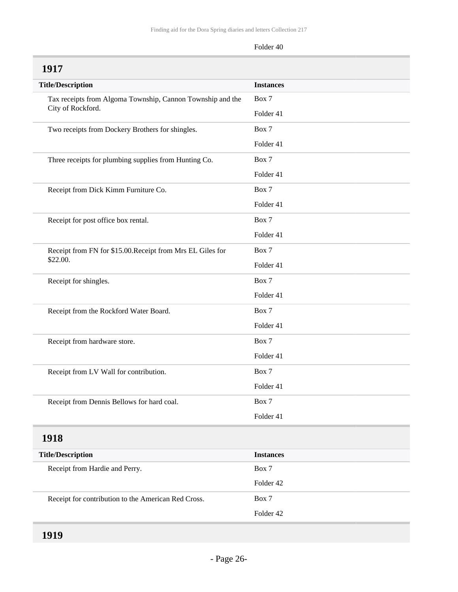<span id="page-25-2"></span><span id="page-25-1"></span><span id="page-25-0"></span>

| 1917                                                                            |                  |
|---------------------------------------------------------------------------------|------------------|
| <b>Title/Description</b>                                                        | <b>Instances</b> |
| Tax receipts from Algoma Township, Cannon Township and the<br>City of Rockford. | Box 7            |
|                                                                                 | Folder 41        |
| Two receipts from Dockery Brothers for shingles.                                | Box 7            |
|                                                                                 | Folder 41        |
| Three receipts for plumbing supplies from Hunting Co.                           | Box 7            |
|                                                                                 | Folder 41        |
| Receipt from Dick Kimm Furniture Co.                                            | Box 7            |
|                                                                                 | Folder 41        |
| Receipt for post office box rental.                                             | Box 7            |
|                                                                                 | Folder 41        |
| Receipt from FN for \$15.00. Receipt from Mrs EL Giles for                      | Box 7            |
| \$22.00.                                                                        | Folder 41        |
| Receipt for shingles.                                                           | Box 7            |
|                                                                                 | Folder 41        |
| Receipt from the Rockford Water Board.                                          | Box 7            |
|                                                                                 | Folder 41        |
| Receipt from hardware store.                                                    | Box 7            |
|                                                                                 | Folder 41        |
| Receipt from LV Wall for contribution.                                          | Box 7            |
|                                                                                 | Folder 41        |
| Receipt from Dennis Bellows for hard coal.                                      | Box 7            |
|                                                                                 | Folder 41        |
| 1918                                                                            |                  |
| <b>Title/Description</b>                                                        | <b>Instances</b> |
| Receipt from Hardie and Perry.                                                  | Box 7            |
|                                                                                 | Folder 42        |
| Receipt for contribution to the American Red Cross.                             | Box 7            |
|                                                                                 | Folder 42        |
|                                                                                 |                  |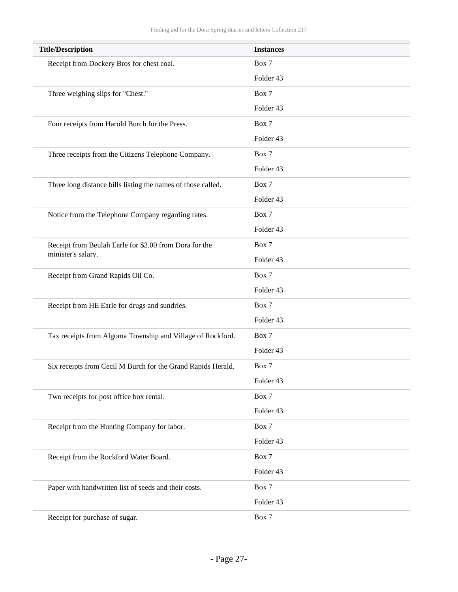| <b>Title/Description</b>                                     | <b>Instances</b> |
|--------------------------------------------------------------|------------------|
| Receipt from Dockery Bros for chest coal.                    | Box 7            |
|                                                              | Folder 43        |
| Three weighing slips for "Chest."                            | Box 7            |
|                                                              | Folder 43        |
| Four receipts from Harold Burch for the Press.               | Box 7            |
|                                                              | Folder 43        |
| Three receipts from the Citizens Telephone Company.          | Box 7            |
|                                                              | Folder 43        |
| Three long distance bills listing the names of those called. | Box 7            |
|                                                              | Folder 43        |
| Notice from the Telephone Company regarding rates.           | Box 7            |
|                                                              | Folder 43        |
| Receipt from Beulah Earle for \$2.00 from Dora for the       | Box 7            |
| minister's salary.                                           | Folder 43        |
| Receipt from Grand Rapids Oil Co.                            | Box 7            |
|                                                              | Folder 43        |
| Receipt from HE Earle for drugs and sundries.                | Box 7            |
|                                                              | Folder 43        |
| Tax receipts from Algoma Township and Village of Rockford.   | Box 7            |
|                                                              | Folder 43        |
| Six receipts from Cecil M Burch for the Grand Rapids Herald. | Box 7            |
|                                                              | Folder 43        |
| Two receipts for post office box rental.                     | Box 7            |
|                                                              | Folder 43        |
| Receipt from the Hunting Company for labor.                  | Box 7            |
|                                                              | Folder 43        |
| Receipt from the Rockford Water Board.                       | Box 7            |
|                                                              | Folder 43        |
| Paper with handwritten list of seeds and their costs.        | Box 7            |
|                                                              | Folder 43        |
| Receipt for purchase of sugar.                               | Box 7            |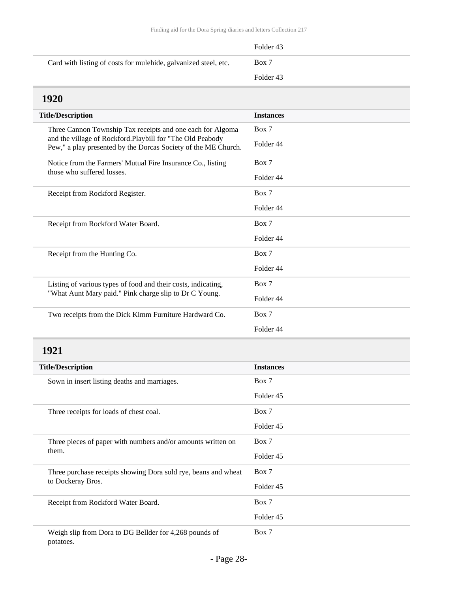<span id="page-27-0"></span>

|                                                                                                                             | Folder <sub>43</sub> |
|-----------------------------------------------------------------------------------------------------------------------------|----------------------|
| Card with listing of costs for mulehide, galvanized steel, etc.                                                             | Box 7                |
|                                                                                                                             | Folder 43            |
| 1920                                                                                                                        |                      |
| <b>Title/Description</b>                                                                                                    | <b>Instances</b>     |
| Three Cannon Township Tax receipts and one each for Algoma                                                                  | Box 7                |
| and the village of Rockford.Playbill for "The Old Peabody<br>Pew," a play presented by the Dorcas Society of the ME Church. | Folder 44            |
| Notice from the Farmers' Mutual Fire Insurance Co., listing                                                                 | Box 7                |
| those who suffered losses.                                                                                                  | Folder 44            |
| Receipt from Rockford Register.                                                                                             | Box 7                |
|                                                                                                                             | Folder 44            |
| Receipt from Rockford Water Board.                                                                                          | Box 7                |
|                                                                                                                             | Folder 44            |
| Receipt from the Hunting Co.                                                                                                | Box 7                |
|                                                                                                                             | Folder 44            |
| Listing of various types of food and their costs, indicating,<br>"What Aunt Mary paid." Pink charge slip to Dr C Young.     | Box 7                |
|                                                                                                                             | Folder 44            |
| Two receipts from the Dick Kimm Furniture Hardward Co.                                                                      | Box 7                |
|                                                                                                                             | Folder 44            |
|                                                                                                                             |                      |

<span id="page-27-1"></span>

| <b>Title/Description</b>                                            | <b>Instances</b> |
|---------------------------------------------------------------------|------------------|
| Sown in insert listing deaths and marriages.                        | Box 7            |
|                                                                     | Folder 45        |
| Three receipts for loads of chest coal.                             | Box 7            |
|                                                                     | Folder 45        |
| Three pieces of paper with numbers and/or amounts written on        | Box 7            |
| them.                                                               | Folder 45        |
| Three purchase receipts showing Dora sold rye, beans and wheat      | Box 7            |
| to Dockeray Bros.                                                   | Folder 45        |
| Receipt from Rockford Water Board.                                  | Box 7            |
|                                                                     | Folder 45        |
| Weigh slip from Dora to DG Bellder for 4,268 pounds of<br>potatoes. | Box 7            |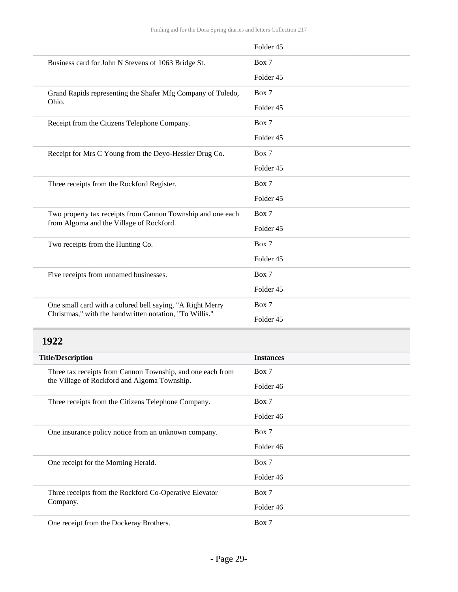|                                                             | Folder 45            |
|-------------------------------------------------------------|----------------------|
| Business card for John N Stevens of 1063 Bridge St.         | Box 7                |
|                                                             | Folder 45            |
| Grand Rapids representing the Shafer Mfg Company of Toledo, | Box 7                |
| Ohio.                                                       | Folder 45            |
| Receipt from the Citizens Telephone Company.                | Box 7                |
|                                                             | Folder 45            |
| Receipt for Mrs C Young from the Deyo-Hessler Drug Co.      | Box 7                |
|                                                             | Folder <sub>45</sub> |
| Three receipts from the Rockford Register.                  | Box 7                |
|                                                             | Folder 45            |
| Two property tax receipts from Cannon Township and one each | Box 7                |
| from Algoma and the Village of Rockford.                    | Folder 45            |
| Two receipts from the Hunting Co.                           | Box 7                |
|                                                             | Folder 45            |
| Five receipts from unnamed businesses.                      | Box 7                |
|                                                             | Folder 45            |
| One small card with a colored bell saying, "A Right Merry   | Box 7                |
| Christmas," with the handwritten notation, "To Willis."     | Folder 45            |

<span id="page-28-0"></span>

| <b>Title/Description</b>                                   | <b>Instances</b> |
|------------------------------------------------------------|------------------|
| Three tax receipts from Cannon Township, and one each from | Box 7            |
| the Village of Rockford and Algoma Township.               | Folder 46        |
| Three receipts from the Citizens Telephone Company.        | Box 7            |
|                                                            | Folder 46        |
| One insurance policy notice from an unknown company.       | Box 7            |
|                                                            | Folder 46        |
| One receipt for the Morning Herald.                        | Box 7            |
|                                                            | Folder 46        |
| Three receipts from the Rockford Co-Operative Elevator     | Box 7            |
| Company.                                                   | Folder 46        |
| One receipt from the Dockeray Brothers.                    | Box 7            |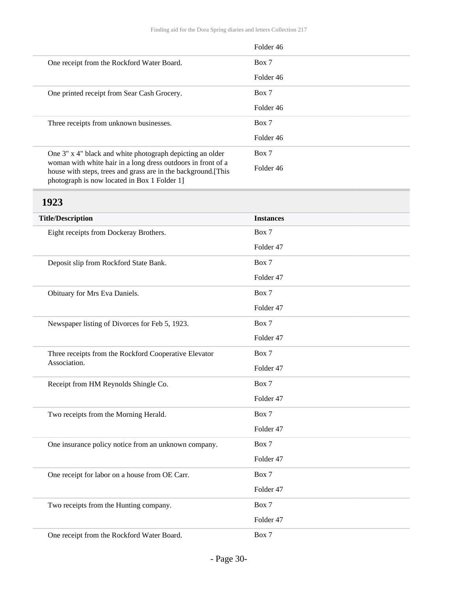|                                                                                                                                                                               | Folder 46 |
|-------------------------------------------------------------------------------------------------------------------------------------------------------------------------------|-----------|
| One receipt from the Rockford Water Board.                                                                                                                                    | Box 7     |
|                                                                                                                                                                               | Folder 46 |
| One printed receipt from Sear Cash Grocery.                                                                                                                                   | Box 7     |
|                                                                                                                                                                               | Folder 46 |
| Three receipts from unknown businesses.                                                                                                                                       | Box 7     |
|                                                                                                                                                                               | Folder 46 |
| One 3" x 4" black and white photograph depicting an older                                                                                                                     | Box 7     |
| woman with white hair in a long dress outdoors in front of a<br>house with steps, trees and grass are in the background. [This<br>photograph is now located in Box 1 Folder 1 | Folder 46 |

<span id="page-29-0"></span>

| <b>Title/Description</b>                              | <b>Instances</b> |
|-------------------------------------------------------|------------------|
| Eight receipts from Dockeray Brothers.                | Box 7            |
|                                                       | Folder 47        |
| Deposit slip from Rockford State Bank.                | Box 7            |
|                                                       | Folder 47        |
| Obituary for Mrs Eva Daniels.                         | Box 7            |
|                                                       | Folder 47        |
| Newspaper listing of Divorces for Feb 5, 1923.        | Box 7            |
|                                                       | Folder 47        |
| Three receipts from the Rockford Cooperative Elevator | Box 7            |
| Association.                                          | Folder 47        |
| Receipt from HM Reynolds Shingle Co.                  | Box 7            |
|                                                       | Folder 47        |
| Two receipts from the Morning Herald.                 | Box 7            |
|                                                       | Folder 47        |
| One insurance policy notice from an unknown company.  | Box 7            |
|                                                       | Folder 47        |
| One receipt for labor on a house from OE Carr.        | Box 7            |
|                                                       | Folder 47        |
| Two receipts from the Hunting company.                | Box 7            |
|                                                       | Folder 47        |
| One receipt from the Rockford Water Board.            | Box 7            |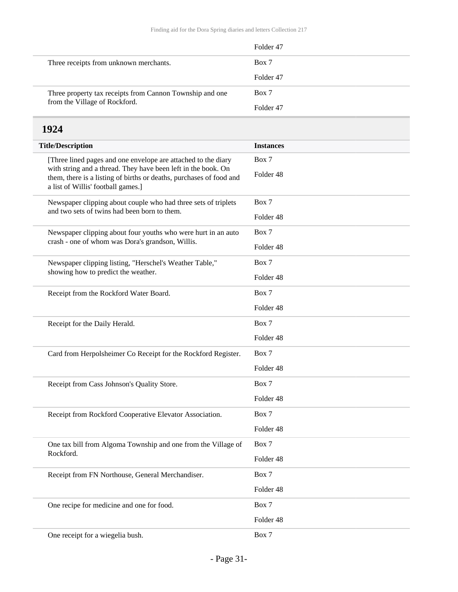|                                                          | Folder 47            |
|----------------------------------------------------------|----------------------|
| Three receipts from unknown merchants.                   | Box 7                |
|                                                          | Folder <sub>47</sub> |
| Three property tax receipts from Cannon Township and one | Box 7                |
| from the Village of Rockford.                            | Folder <sub>47</sub> |

<span id="page-30-0"></span>

| <b>Title/Description</b>                                                                                                                                                                                                                    | <b>Instances</b>     |
|---------------------------------------------------------------------------------------------------------------------------------------------------------------------------------------------------------------------------------------------|----------------------|
| [Three lined pages and one envelope are attached to the diary<br>with string and a thread. They have been left in the book. On<br>them, there is a listing of births or deaths, purchases of food and<br>a list of Willis' football games.] | Box 7                |
|                                                                                                                                                                                                                                             | Folder <sub>48</sub> |
| Newspaper clipping about couple who had three sets of triplets                                                                                                                                                                              | Box 7                |
| and two sets of twins had been born to them.                                                                                                                                                                                                | Folder <sub>48</sub> |
| Newspaper clipping about four youths who were hurt in an auto                                                                                                                                                                               | Box 7                |
| crash - one of whom was Dora's grandson, Willis.                                                                                                                                                                                            | Folder <sub>48</sub> |
| Newspaper clipping listing, "Herschel's Weather Table,"                                                                                                                                                                                     | Box 7                |
| showing how to predict the weather.                                                                                                                                                                                                         | Folder <sub>48</sub> |
| Receipt from the Rockford Water Board.                                                                                                                                                                                                      | Box 7                |
|                                                                                                                                                                                                                                             | Folder <sub>48</sub> |
| Receipt for the Daily Herald.                                                                                                                                                                                                               | Box 7                |
|                                                                                                                                                                                                                                             | Folder <sub>48</sub> |
| Card from Herpolsheimer Co Receipt for the Rockford Register.                                                                                                                                                                               | Box 7                |
|                                                                                                                                                                                                                                             | Folder <sub>48</sub> |
| Receipt from Cass Johnson's Quality Store.                                                                                                                                                                                                  | Box 7                |
|                                                                                                                                                                                                                                             | Folder <sub>48</sub> |
| Receipt from Rockford Cooperative Elevator Association.                                                                                                                                                                                     | Box 7                |
|                                                                                                                                                                                                                                             | Folder 48            |
| One tax bill from Algoma Township and one from the Village of                                                                                                                                                                               | Box 7                |
| Rockford.                                                                                                                                                                                                                                   | Folder 48            |
| Receipt from FN Northouse, General Merchandiser.                                                                                                                                                                                            | Box 7                |
|                                                                                                                                                                                                                                             | Folder 48            |
| One recipe for medicine and one for food.                                                                                                                                                                                                   | Box 7                |
|                                                                                                                                                                                                                                             | Folder 48            |
| One receipt for a wiegelia bush.                                                                                                                                                                                                            | Box 7                |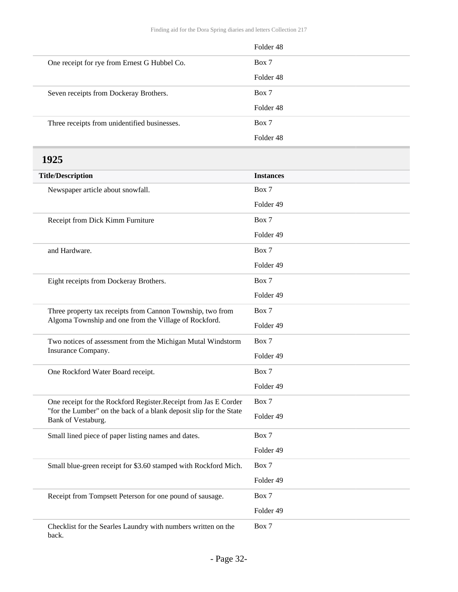<span id="page-31-0"></span>

|                                                                                          | Folder 48        |
|------------------------------------------------------------------------------------------|------------------|
| One receipt for rye from Ernest G Hubbel Co.                                             | Box 7            |
|                                                                                          | Folder 48        |
| Seven receipts from Dockeray Brothers.                                                   | Box 7            |
|                                                                                          | Folder 48        |
| Three receipts from unidentified businesses.                                             | Box 7            |
|                                                                                          | Folder 48        |
| 1925                                                                                     |                  |
| <b>Title/Description</b>                                                                 | <b>Instances</b> |
| Newspaper article about snowfall.                                                        | Box 7            |
|                                                                                          | Folder 49        |
| Receipt from Dick Kimm Furniture                                                         | Box 7            |
|                                                                                          | Folder 49        |
| and Hardware.                                                                            | Box 7            |
|                                                                                          | Folder 49        |
| Eight receipts from Dockeray Brothers.                                                   | Box 7            |
|                                                                                          | Folder 49        |
| Three property tax receipts from Cannon Township, two from                               | Box 7            |
| Algoma Township and one from the Village of Rockford.                                    | Folder 49        |
| Two notices of assessment from the Michigan Mutal Windstorm                              | Box 7            |
| Insurance Company.                                                                       | Folder 49        |
| One Rockford Water Board receipt.                                                        | Box 7            |
|                                                                                          | Folder 49        |
| One receipt for the Rockford Register. Receipt from Jas E Corder                         | Box 7            |
| "for the Lumber" on the back of a blank deposit slip for the State<br>Bank of Vestaburg. | Folder 49        |
| Small lined piece of paper listing names and dates.                                      | Box 7            |
|                                                                                          | Folder 49        |
| Small blue-green receipt for \$3.60 stamped with Rockford Mich.                          | Box 7            |
|                                                                                          | Folder 49        |
| Receipt from Tompsett Peterson for one pound of sausage.                                 | Box 7            |
|                                                                                          | Folder 49        |
| Checklist for the Searles Laundry with numbers written on the                            | Box 7            |

back.